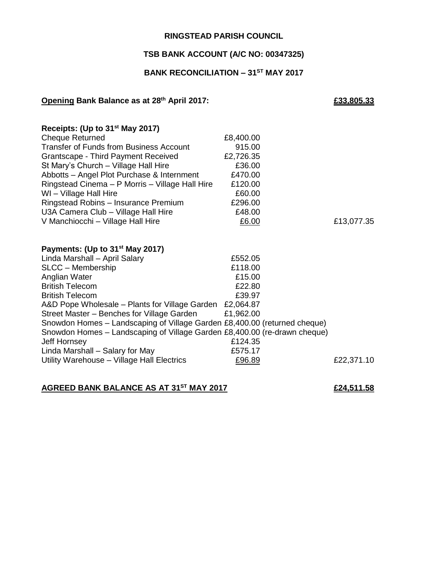### **RINGSTEAD PARISH COUNCIL**

### **TSB BANK ACCOUNT (A/C NO: 00347325)**

## **BANK RECONCILIATION – 31ST MAY 2017**

#### **Opening Bank Balance as at 28th April 2017: £33,805.33**

## **Receipts: (Up to 31st May 2017)** Cheque Returned **E8,400.00** Transfer of Funds from Business Account 915.00 Grantscape - Third Payment Received £2,726.35 St Mary's Church – Village Hall Hire **E36.00** Abbotts – Angel Plot Purchase & Internment £470.00 Ringstead Cinema – P Morris – Village Hall Hire £120.00 WI – Village Hall Hire **E60.00** Ringstead Robins – Insurance Premium £296.00 U3A Camera Club – Village Hall Hire **E48.00** V Manchiocchi – Village Hall Hire £6.00 £13,077.35 **Payments: (Up to 31st May 2017)** Linda Marshall – April Salary £552.05 SLCC – Membership  $£118.00$ Anglian Water **E15.00** British Telecom **E22.80** British Telecom **E39.97** A&D Pope Wholesale – Plants for Village Garden £2,064.87 Street Master – Benches for Village Garden £1,962.00 Snowdon Homes – Landscaping of Village Garden £8,400.00 (returned cheque) Snowdon Homes – Landscaping of Village Garden £8,400.00 (re-drawn cheque) Jeff Hornsey £124.35 Linda Marshall – Salary for May £575.17 Utility Warehouse – Village Hall Electrics  $£96.89$   $£22,371.10$

### **AGREED BANK BALANCE AS AT 31ST MAY 2017 £24,511.58**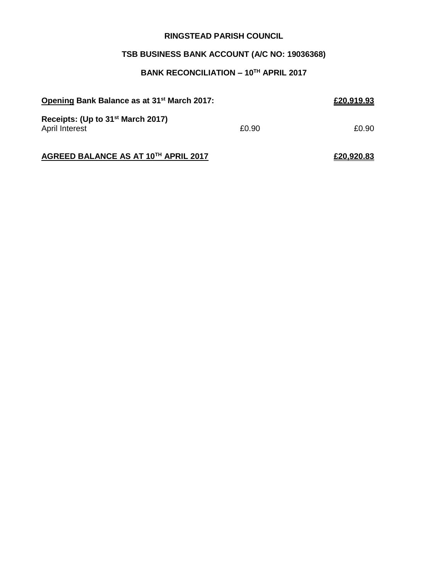### **RINGSTEAD PARISH COUNCIL**

# **TSB BUSINESS BANK ACCOUNT (A/C NO: 19036368)**

# **BANK RECONCILIATION – 10TH APRIL 2017**

| Opening Bank Balance as at 31 <sup>st</sup> March 2017:         |       | £20,919.93 |
|-----------------------------------------------------------------|-------|------------|
| Receipts: (Up to 31 <sup>st</sup> March 2017)<br>April Interest | £0.90 | £0.90      |
| AGREED BALANCE AS AT 10TH APRIL 2017                            |       | £20.920.83 |